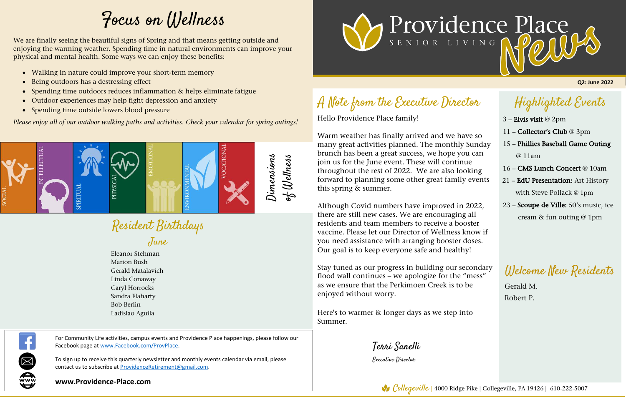## Highlighted Events

### A Note from the Executive Director Í

- 3 Elvis visit @ 2pm
- 11 Collector's Club @ 3pm
- 15 Phillies Baseball Game Outing @ 11am
- 16 CMS Lunch Concert @ 10am
- 21 EdU Presentation: Art History with Steve Pollack @ 1pm
- 23 Scoupe de Ville: 50's music, ice cream & fun outing @ 1pm

Warm weather has finally arrived and we have so many great activities planned. The monthly Sunday brunch has been a great success, we hope you can join us for the June event. These will continue throughout the rest of 2022. We are also looking forward to planning some other great family events this spring & summer.

Hello Providence Place family!

Although Covid numbers have improved in 2022, there are still new cases. We are encouraging all residents and team members to receive a booster vaccine. Please let our Director of Wellness know if you need assistance with arranging booster doses. Our goal is to keep everyone safe and healthy!

Resident Birthdays June

Stay tuned as our progress in building our secondary flood wall continues – we apologize for the "mess" as we ensure that the Perkimoen Creek is to be enjoyed without worry.

Here's to warmer & longer days as we step into Summer.

Terri Sanelli

Executive Director

**Q2: June 2022**

For Community Life activities, campus events and Providence Place happenings, please follow our Facebook page at www.Facebook.com/ProvPlace.

To sign up to receive this quarterly newsletter and monthly events calendar via email, please contact us to subscribe at ProvidenceRetirement@gmail.com.

**www.Providence-Place.com**





Welcome New Residents

Gerald M. Robert P.

# Focus on Wellness

Eleanor Stehman Marion Bush Gerald Matalavich Linda Conaway Caryl Horrocks Sandra Flaharty Bob Berlin Ladislao Aguila



We are finally seeing the beautiful signs of Spring and that means getting outside and enjoying the warming weather. Spending time in natural environments can improve your physical and mental health. Some ways we can enjoy these benefits:

- Walking in nature could improve your short-term memory
- Being outdoors has a destressing effect
- Spending time outdoors reduces inflammation & helps eliminate fatigue
- Outdoor experiences may help fight depression and anxiety
- Spending time outside lowers blood pressure

*Please enjoy all of our outdoor walking paths and activities. Check your calendar for spring outings!*